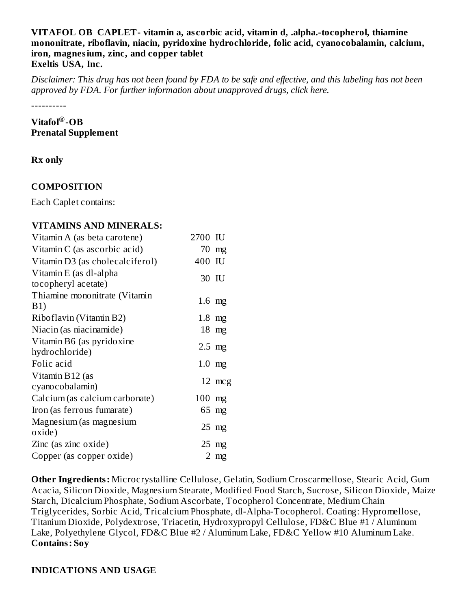#### **VITAFOL OB CAPLET- vitamin a, as corbic acid, vitamin d, .alpha.-tocopherol, thiamine mononitrate, riboflavin, niacin, pyridoxine hydrochloride, folic acid, cyanocobalamin, calcium, iron, magnesium, zinc, and copper tablet Exeltis USA, Inc.**

Disclaimer: This drug has not been found by FDA to be safe and effective, and this labeling has not been *approved by FDA. For further information about unapproved drugs, click here.*

----------

#### **Vitafol -OB ® Prenatal Supplement**

### **Rx only**

## **COMPOSITION**

Each Caplet contains:

## **VITAMINS AND MINERALS:**

| Vitamin A (as beta carotene)                  | 2700 IU  |                  |
|-----------------------------------------------|----------|------------------|
| Vitamin C (as ascorbic acid)                  |          | 70 mg            |
| Vitamin D3 (as cholecalciferol)               | 400 IU   |                  |
| Vitamin E (as dl-alpha<br>tocopheryl acetate) | 30 IU    |                  |
| Thiamine mononitrate (Vitamin<br>B1)          | $1.6$ mg |                  |
| Riboflavin (Vitamin B2)                       | $1.8$ mg |                  |
| Niacin (as niacinamide)                       |          | $18$ mg          |
| Vitamin B6 (as pyridoxine<br>hydrochloride)   | $2.5$ mg |                  |
| Folic acid                                    | $1.0$ mg |                  |
| Vitamin B12 (as<br>cyanocobalamin)            |          | $12 \text{ mcg}$ |
| Calcium (as calcium carbonate)                | $100$ mg |                  |
| Iron (as ferrous fumarate)                    |          | 65 mg            |
| Magnesium (as magnesium<br>oxide)             |          | $25$ mg          |
| Zinc (as zinc oxide)                          |          | $25 \text{ mg}$  |
| Copper (as copper oxide)                      |          | 2 mg             |

**Other Ingredients:** Microcrystalline Cellulose, Gelatin, Sodium Croscarmellose, Stearic Acid, Gum Acacia, Silicon Dioxide, Magnesium Stearate, Modified Food Starch, Sucrose, Silicon Dioxide, Maize Starch, Dicalcium Phosphate, Sodium Ascorbate, Tocopherol Concentrate, Medium Chain Triglycerides, Sorbic Acid, Tricalcium Phosphate, dl-Alpha-Tocopherol. Coating: Hypromellose, Titanium Dioxide, Polydextrose, Triacetin, Hydroxypropyl Cellulose, FD&C Blue #1 / Aluminum Lake, Polyethylene Glycol, FD&C Blue #2 / Aluminum Lake, FD&C Yellow #10 Aluminum Lake. **Contains: Soy**

#### **INDICATIONS AND USAGE**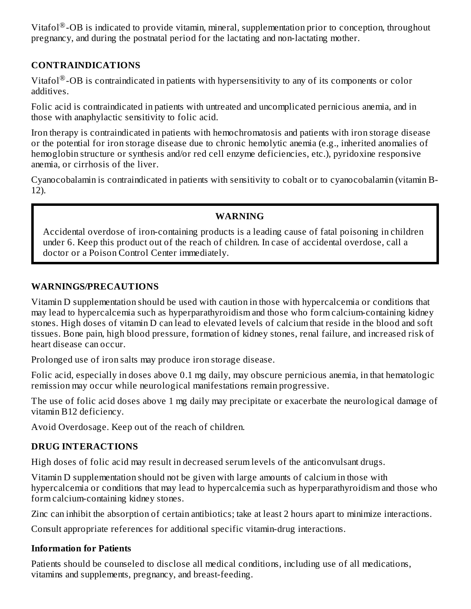Vitafol $^{\circledR}$ -OB is indicated to provide vitamin, mineral, supplementation prior to conception, throughout pregnancy, and during the postnatal period for the lactating and non-lactating mother.

## **CONTRAINDICATIONS**

Vitafol $^{\circledR}$ -OB is contraindicated in patients with hypersensitivity to any of its components or color additives.

Folic acid is contraindicated in patients with untreated and uncomplicated pernicious anemia, and in those with anaphylactic sensitivity to folic acid.

Iron therapy is contraindicated in patients with hemochromatosis and patients with iron storage disease or the potential for iron storage disease due to chronic hemolytic anemia (e.g., inherited anomalies of hemoglobin structure or synthesis and/or red cell enzyme deficiencies, etc.), pyridoxine responsive anemia, or cirrhosis of the liver.

Cyanocobalamin is contraindicated in patients with sensitivity to cobalt or to cyanocobalamin (vitamin B-12).

#### **WARNING**

Accidental overdose of iron-containing products is a leading cause of fatal poisoning in children under 6. Keep this product out of the reach of children. In case of accidental overdose, call a doctor or a Poison Control Center immediately.

#### **WARNINGS/PRECAUTIONS**

Vitamin D supplementation should be used with caution in those with hypercalcemia or conditions that may lead to hypercalcemia such as hyperparathyroidism and those who form calcium-containing kidney stones. High doses of vitamin D can lead to elevated levels of calcium that reside in the blood and soft tissues. Bone pain, high blood pressure, formation of kidney stones, renal failure, and increased risk of heart disease can occur.

Prolonged use of iron salts may produce iron storage disease.

Folic acid, especially in doses above 0.1 mg daily, may obscure pernicious anemia, in that hematologic remission may occur while neurological manifestations remain progressive.

The use of folic acid doses above 1 mg daily may precipitate or exacerbate the neurological damage of vitamin B12 deficiency.

Avoid Overdosage. Keep out of the reach of children.

#### **DRUG INTERACTIONS**

High doses of folic acid may result in decreased serum levels of the anticonvulsant drugs.

Vitamin D supplementation should not be given with large amounts of calcium in those with hypercalcemia or conditions that may lead to hypercalcemia such as hyperparathyroidism and those who form calcium-containing kidney stones.

Zinc can inhibit the absorption of certain antibiotics; take at least 2 hours apart to minimize interactions.

Consult appropriate references for additional specific vitamin-drug interactions.

#### **Information for Patients**

Patients should be counseled to disclose all medical conditions, including use of all medications, vitamins and supplements, pregnancy, and breast-feeding.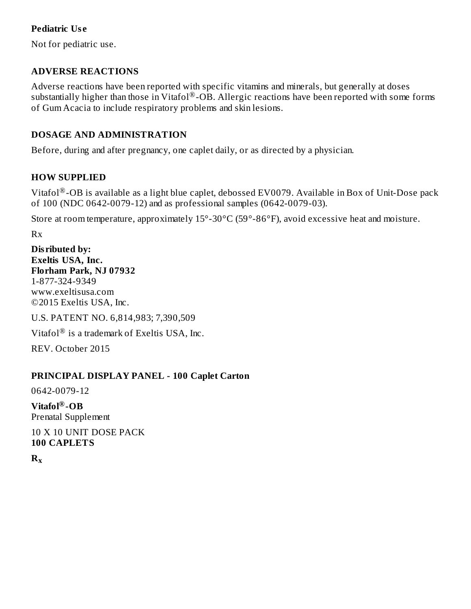#### **Pediatric Us e**

Not for pediatric use.

## **ADVERSE REACTIONS**

Adverse reactions have been reported with specific vitamins and minerals, but generally at doses substantially higher than those in Vitafol®-OB. Allergic reactions have been reported with some forms of Gum Acacia to include respiratory problems and skin lesions.

## **DOSAGE AND ADMINISTRATION**

Before, during and after pregnancy, one caplet daily, or as directed by a physician.

## **HOW SUPPLIED**

Vitafol $^\circledR$ -OB is available as a light blue caplet, debossed EV0079. Available in Box of Unit-Dose pack of 100 (NDC 0642-0079-12) and as professional samples (0642-0079-03).

Store at room temperature, approximately 15°-30°C (59°-86°F), avoid excessive heat and moisture.

Rx

**Dis ributed by: Exeltis USA, Inc. Florham Park, NJ 07932** 1-877-324-9349 www.exeltisusa.com ©2015 Exeltis USA, Inc.

U.S. PATENT NO. 6,814,983; 7,390,509

Vitafol $^{\circledR}$  is a trademark of Exeltis USA, Inc.

REV. October 2015

## **PRINCIPAL DISPLAY PANEL - 100 Caplet Carton**

0642-0079-12

**Vitafol -OB ®** Prenatal Supplement

10 X 10 UNIT DOSE PACK **100 CAPLETS**

**R x**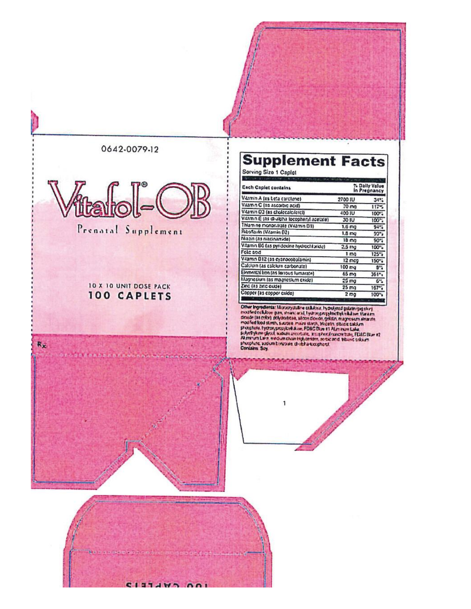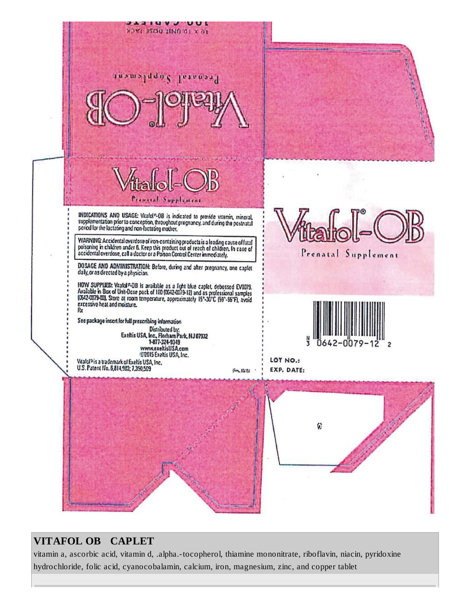

# **VITAFOL OB CAPLET**

vitamin a, ascorbic acid, vitamin d, .alpha.-tocopherol, thiamine mononitrate, riboflavin, niacin, pyridoxine hydrochloride, folic acid, cyanocobalamin, calcium, iron, magnesium, zinc, and copper tablet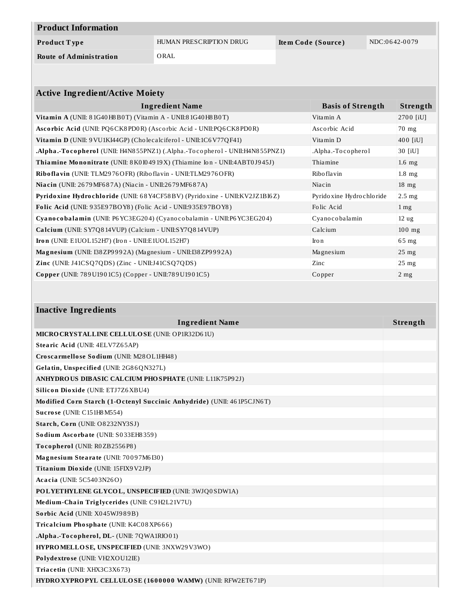| <b>Product Information</b>     |                         |                    |               |  |
|--------------------------------|-------------------------|--------------------|---------------|--|
| Product Type                   | HUMAN PRESCRIPTION DRUG | Item Code (Source) | NDC:0642-0079 |  |
| <b>Route of Administration</b> | ORAL                    |                    |               |  |
|                                |                         |                    |               |  |

| <b>Active Ingredient/Active Moiety</b>                                       |                             |                   |  |  |
|------------------------------------------------------------------------------|-----------------------------|-------------------|--|--|
| <b>Ingredient Name</b>                                                       | <b>Basis of Strength</b>    | <b>Strength</b>   |  |  |
| Vitamin A (UNII: $81G40H8B0T$ ) (Vitamin A - UNII: $81G40H8B0T$ )            | Vitamin A                   | 2700 [iU]         |  |  |
| Ascorbic Acid (UNII: PQ6CK8PD0R) (Ascorbic Acid - UNII:PQ6CK8PD0R)           | Ascorbic Acid               | 70 mg             |  |  |
| Vitamin D (UNII: 9 VU1KI44GP) (Cholecalciferol - UNII:1C6 V77QF41)           | Vitamin D                   | 400 [iU]          |  |  |
| .Alpha.-Tocopherol (UNII: H4N855PNZ1) (.Alpha.-Tocopherol - UNII:H4N855PNZ1) | .Alpha.-Tocopherol          | 30 [iU]           |  |  |
| Thiamine Mononitrate (UNII: 8K0I04919X) (Thiamine Ion - UNII:4ABT0J945J)     | Thiamine                    | $1.6$ mg          |  |  |
| Riboflavin (UNII: TLM2976OFR) (Riboflavin - UNII:TLM2976OFR)                 | Ribo flavin                 | $1.8$ mg          |  |  |
| Niacin (UNII: 2679 MF687A) (Niacin - UNII:2679 MF687A)                       | Niacin                      | $18$ mg           |  |  |
| Pyridoxine Hydrochloride (UNII: 68Y4CF58BV) (Pyridoxine - UNII:KV2JZ1BI6Z)   | Pyrido xine Hydro chlo ride | $2.5$ mg          |  |  |
| Folic Acid (UNII: 935E97BOY8) (Folic Acid - UNII:935E97BOY8)                 | Folic Acid                  | $1 \,\mathrm{mg}$ |  |  |
| Cyanocobalamin (UNII: P6YC3EG204) (Cyanocobalamin - UNII:P6YC3EG204)         | Cyanocobalamin              | 12 <sub>ug</sub>  |  |  |
| Calcium (UNII: SY7Q814VUP) (Calcium - UNII:SY7Q814VUP)                       | Calcium                     | $100$ mg          |  |  |
| Iron (UNII: E1UOL152H7) (Iron - UNII:E1UOL152H7)                             | Iro n                       | $65$ mg           |  |  |
| Magnesium (UNII: I38 ZP9992A) (Magnesium - UNII: I38 ZP9992A)                | Magnesium                   | $25 \text{ mg}$   |  |  |
| Zinc (UNII: J41CSQ7QDS) (Zinc - UNII:J41CSQ7QDS)                             | Zinc                        | $25$ mg           |  |  |
| Copper (UNII: 789U1901C5) (Copper - UNII:789U1901C5)                         | Copper                      | $2$ mg            |  |  |

| <b>Inactive Ingredients</b>                                            |          |  |  |
|------------------------------------------------------------------------|----------|--|--|
| <b>Ingredient Name</b>                                                 | Strength |  |  |
| MICRO CRYSTALLINE CELLULO SE (UNII: OP1R32D61U)                        |          |  |  |
| Stearic Acid (UNII: 4ELV7Z65AP)                                        |          |  |  |
| Croscarmellose Sodium (UNII: M28OL1HH48)                               |          |  |  |
| Gelatin, Unspecified (UNII: 2G86QN327L)                                |          |  |  |
| <b>ANHYDRO US DIBASIC CALCIUM PHOSPHATE (UNII: L11K75P92J)</b>         |          |  |  |
| Silicon Dioxide (UNII: ETJ7Z6XBU4)                                     |          |  |  |
| Modified Corn Starch (1-Octenyl Succinic Anhydride) (UNII: 461P5CJN6T) |          |  |  |
| Sucrose (UNII: C151H8 M554)                                            |          |  |  |
| Starch, Corn (UNII: O8232NY3SJ)                                        |          |  |  |
| Sodium Ascorbate (UNII: S033EH8359)                                    |          |  |  |
| Tocopherol (UNII: R0ZB2556P8)                                          |          |  |  |
| Magnesium Stearate (UNII: 70097M6I30)                                  |          |  |  |
| Titanium Dioxide (UNII: 15FIX9V2JP)                                    |          |  |  |
| Acacia (UNII: 5C5403N26O)                                              |          |  |  |
| POLYETHYLENE GLYCOL, UNSPECIFIED (UNII: 3WJQ0SDW1A)                    |          |  |  |
| Medium-Chain Triglycerides (UNII: C9H2L21V7U)                          |          |  |  |
| Sorbic Acid (UNII: X045WJ989B)                                         |          |  |  |
| Tricalcium Phosphate (UNII: K4C08XP666)                                |          |  |  |
| .Alpha.-Tocopherol, DL- (UNII: 7QWA1RIO01)                             |          |  |  |
| HYPROMELLOSE, UNSPECIFIED (UNII: 3NXW29V3WO)                           |          |  |  |
| Polydextrose (UNII: VH2XOU12IE)                                        |          |  |  |
| Triacetin (UNII: XHX3C3X673)                                           |          |  |  |
| HYDRO XYPROPYL CELLULOSE (1600000 WAMW) (UNII: RFW2ET671P)             |          |  |  |